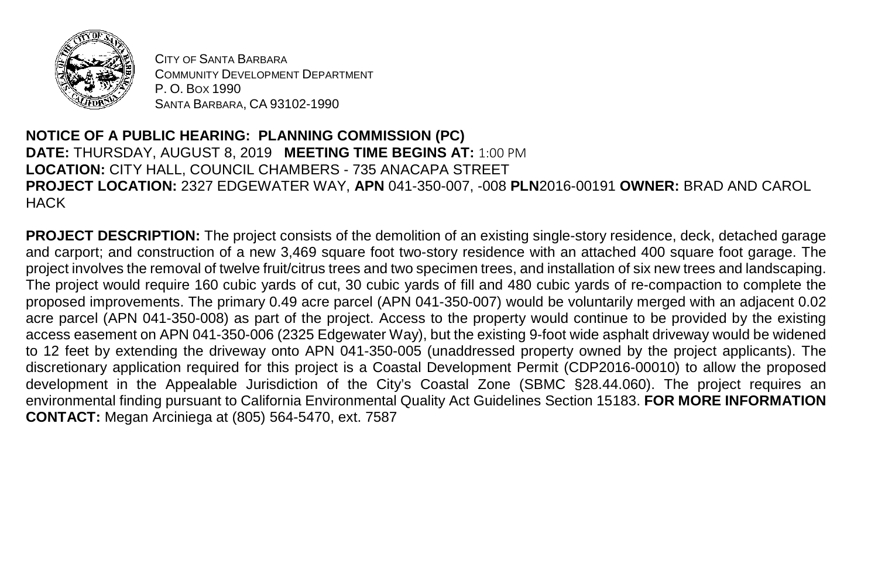

CITY OF SANTA BARBARA COMMUNITY DEVELOPMENT DEPARTMENT P. O. BOX 1990 SANTA BARBARA, CA 93102-1990

## **NOTICE OF A PUBLIC HEARING: PLANNING COMMISSION (PC) DATE:** THURSDAY, AUGUST 8, 2019 **MEETING TIME BEGINS AT:** 1:00 PM **LOCATION:** CITY HALL, COUNCIL CHAMBERS - 735 ANACAPA STREET **PROJECT LOCATION:** 2327 EDGEWATER WAY, **APN** 041-350-007, -008 **PLN**2016-00191 **OWNER:** BRAD AND CAROL **HACK**

**PROJECT DESCRIPTION:** The project consists of the demolition of an existing single-story residence, deck, detached garage and carport; and construction of a new 3,469 square foot two-story residence with an attached 400 square foot garage. The project involves the removal of twelve fruit/citrus trees and two specimen trees, and installation of six new trees and landscaping. The project would require 160 cubic yards of cut, 30 cubic yards of fill and 480 cubic yards of re-compaction to complete the proposed improvements. The primary 0.49 acre parcel (APN 041-350-007) would be voluntarily merged with an adjacent 0.02 acre parcel (APN 041-350-008) as part of the project. Access to the property would continue to be provided by the existing access easement on APN 041-350-006 (2325 Edgewater Way), but the existing 9-foot wide asphalt driveway would be widened to 12 feet by extending the driveway onto APN 041-350-005 (unaddressed property owned by the project applicants). The discretionary application required for this project is a Coastal Development Permit (CDP2016-00010) to allow the proposed development in the Appealable Jurisdiction of the City's Coastal Zone (SBMC §28.44.060). The project requires an environmental finding pursuant to California Environmental Quality Act Guidelines Section 15183. **FOR MORE INFORMATION CONTACT:** Megan Arciniega at (805) 564-5470, ext. 7587